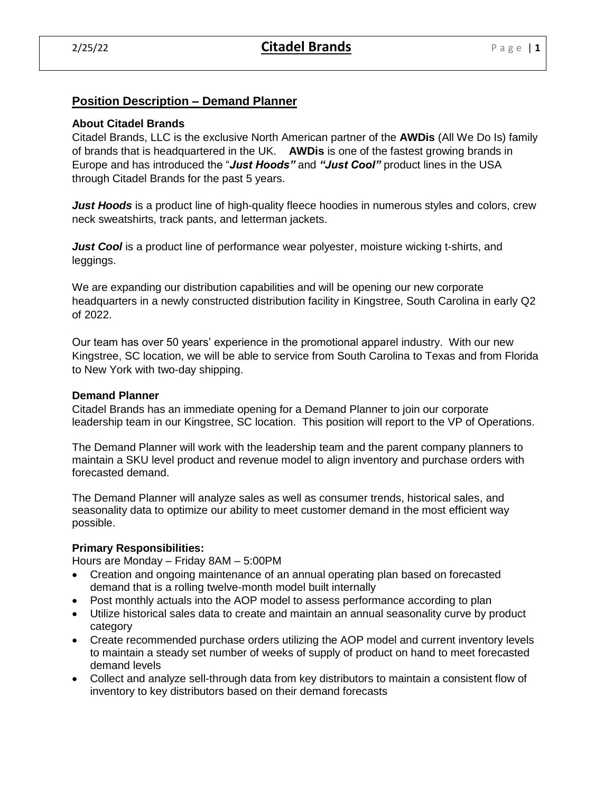# **Position Description – Demand Planner**

# **About Citadel Brands**

Citadel Brands, LLC is the exclusive North American partner of the **AWDis** (All We Do Is) family of brands that is headquartered in the UK. **AWDis** is one of the fastest growing brands in Europe and has introduced the "*Just Hoods"* and *"Just Cool"* product lines in the USA through Citadel Brands for the past 5 years.

*Just Hoods* is a product line of high-quality fleece hoodies in numerous styles and colors, crew neck sweatshirts, track pants, and letterman jackets.

*Just Cool* is a product line of performance wear polyester, moisture wicking t-shirts, and leggings.

We are expanding our distribution capabilities and will be opening our new corporate headquarters in a newly constructed distribution facility in Kingstree, South Carolina in early Q2 of 2022.

Our team has over 50 years' experience in the promotional apparel industry. With our new Kingstree, SC location, we will be able to service from South Carolina to Texas and from Florida to New York with two-day shipping.

### **Demand Planner**

Citadel Brands has an immediate opening for a Demand Planner to join our corporate leadership team in our Kingstree, SC location. This position will report to the VP of Operations.

The Demand Planner will work with the leadership team and the parent company planners to maintain a SKU level product and revenue model to align inventory and purchase orders with forecasted demand.

The Demand Planner will analyze sales as well as consumer trends, historical sales, and seasonality data to optimize our ability to meet customer demand in the most efficient way possible.

# **Primary Responsibilities:**

Hours are Monday – Friday 8AM – 5:00PM

- Creation and ongoing maintenance of an annual operating plan based on forecasted demand that is a rolling twelve-month model built internally
- Post monthly actuals into the AOP model to assess performance according to plan
- Utilize historical sales data to create and maintain an annual seasonality curve by product category
- Create recommended purchase orders utilizing the AOP model and current inventory levels to maintain a steady set number of weeks of supply of product on hand to meet forecasted demand levels
- Collect and analyze sell-through data from key distributors to maintain a consistent flow of inventory to key distributors based on their demand forecasts